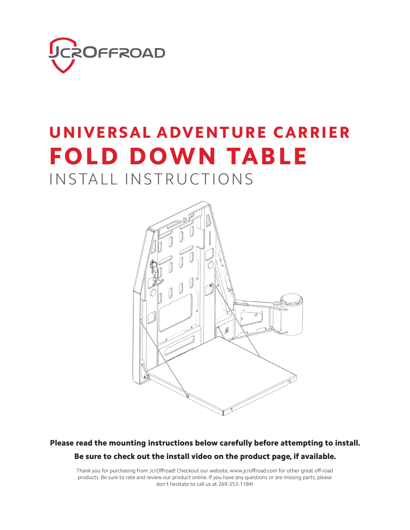

#### UNIVERSAL ADVENTURE CARRIER FOLD DOWN TABLE

#### INSTALL INSTRUCTIONS



#### Please read the mounting instructions below carefully before attempting to install. Be sure to check out the install video on the product page, if available.

Thank you for purchasing from JcrOffroad! Checkout our website, www.jcroffroad.com for other great off-road products. Be sure to rate and review our product online. If you have any questions or are missing parts, please don't hesitate to call us at 269-353-1184!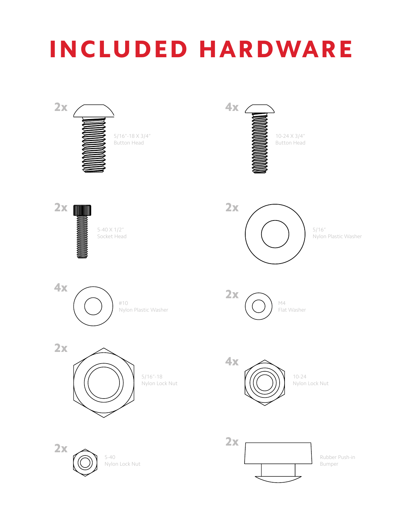# INCLUDED HARDWARE

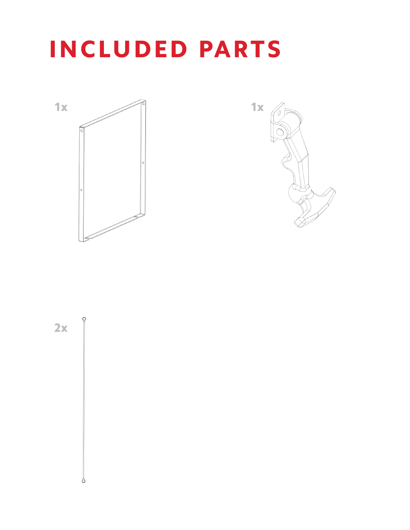### INCLUDED PARTS





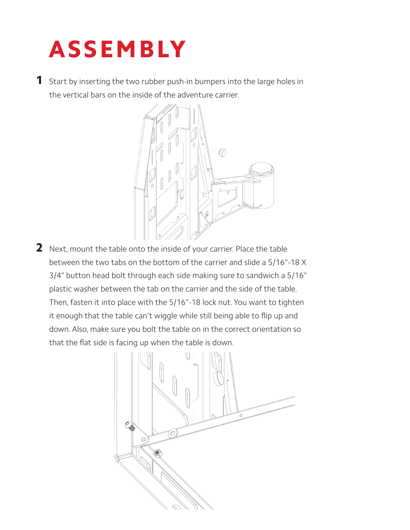# ASSEMBLY

1 Start by inserting the two rubber push-in bumpers into the large holes in the vertical bars on the inside of the adventure carrier.



2 Next, mount the table onto the inside of your carrier. Place the table between the two tabs on the bottom of the carrier and slide a 5/16"-18 X 3/4" button head bolt through each side making sure to sandwich a 5/16" plastic washer between the tab on the carrier and the side of the table. Then, fasten it into place with the 5/16"-18 lock nut. You want to tighten it enough that the table can't wiggle while still being able to flip up and down. Also, make sure you bolt the table on in the correct orientation so that the flat side is facing up when the table is down.

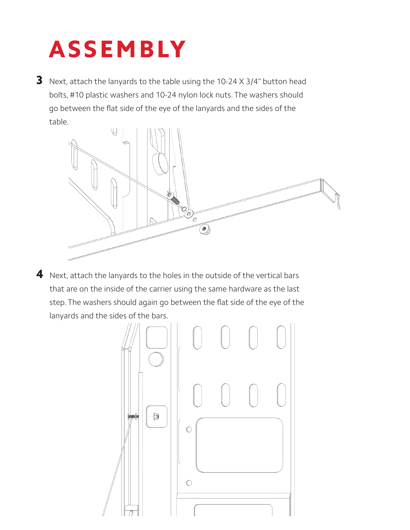# ASSEMBLY

**3** Next, attach the lanyards to the table using the 10-24  $\times$  3/4" button head bolts, #10 plastic washers and 10-24 nylon lock nuts. The washers should go between the flat side of the eye of the lanyards and the sides of the table.



4 Next, attach the lanyards to the holes in the outside of the vertical bars that are on the inside of the carrier using the same hardware as the last step. The washers should again go between the flat side of the eye of the lanyards and the sides of the bars.